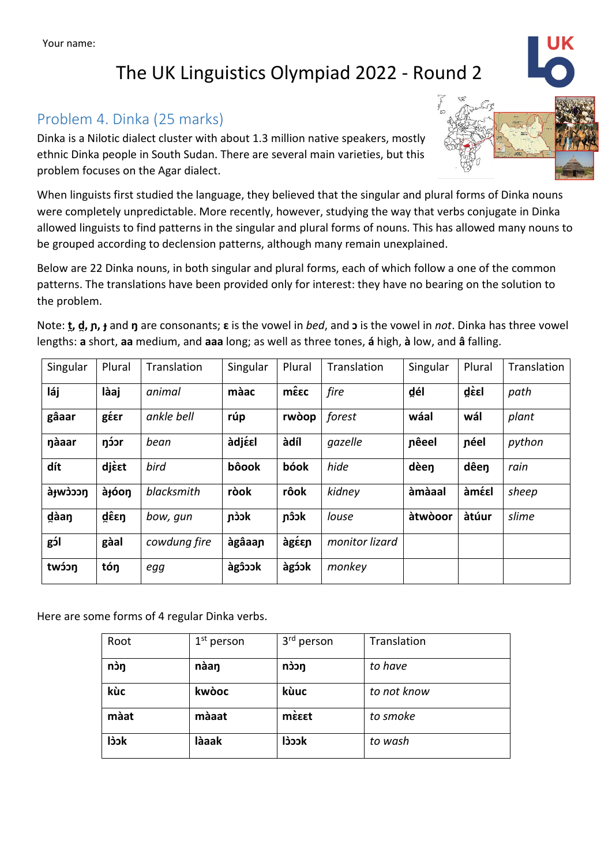## The UK Linguistics Olympiad 2022 - Round 2

### Problem 4. Dinka (25 marks)

Dinka is a Nilotic dialect cluster with about 1.3 million native speakers, mostly ethnic Dinka people in South Sudan. There are several main varieties, but this problem focuses on the Agar dialect.

When linguists first studied the language, they believed that the singular and plural forms of Dinka nouns were completely unpredictable. More recently, however, studying the way that verbs conjugate in Dinka allowed linguists to find patterns in the singular and plural forms of nouns. This has allowed many nouns to be grouped according to declension patterns, although many remain unexplained.

Below are 22 Dinka nouns, in both singular and plural forms, each of which follow a one of the common patterns. The translations have been provided only for interest: they have no bearing on the solution to the problem.

Note: **t, ̪d̪, ɲ, ɟ** and **ŋ** are consonants; **ɛ** is the vowel in *bed*, and **ɔ** is the vowel in *not*. Dinka has three vowel lengths: **a** short, **aa** medium, and **aaa** long; as well as three tones, **á** high, **à** low, and **â** falling.

| Singular        | Plural       | Translation  | Singular | Plural      | Translation    | Singular | Plural | Translation |
|-----------------|--------------|--------------|----------|-------------|----------------|----------|--------|-------------|
| láj             | làaj         | animal       | màac     | mêsc        | fire           | dél      | Ιзз̀р  | path        |
| gâaar           | gέεr         | ankle bell   | rúp      | rwòop       | forest         | wáal     | wál    | plant       |
| nàaar           | nóor         | bean         | àdjésl   | àdíl        | gazelle        | nêeel    | néel   | python      |
| dít             | djèst        | bird         | bôook    | <b>bóok</b> | hide           | dèen     | dêen   | rain        |
| <b>a</b> twoววท | àtóon        | blacksmith   | ròok     | rôok        | kidney         | àmàaal   | àméel  | sheep       |
| dàan            | <u>d</u> εεη | bow, gun     | nàok     | nôok        | louse          | àtwòoor  | àtúur  | slime       |
| gól             | gàal         | cowdung fire | àgâaan   | àgέεη       | monitor lizard |          |        |             |
| twóon           | tóŋ          | egg          | agoook   | àgóok       | monkey         |          |        |             |

Here are some forms of 4 regular Dinka verbs.

| Root        | $1st$ person | 3 <sup>rd</sup> person | Translation |
|-------------|--------------|------------------------|-------------|
| nòŋ         | nàaŋ         | nວ້ວ໗                  | to have     |
| kùc         | kwòoc        | kùuc                   | to not know |
| màat        | màaat        | mèset                  | to smoke    |
| <b>J</b> ok | làaak        | làook                  | to wash     |

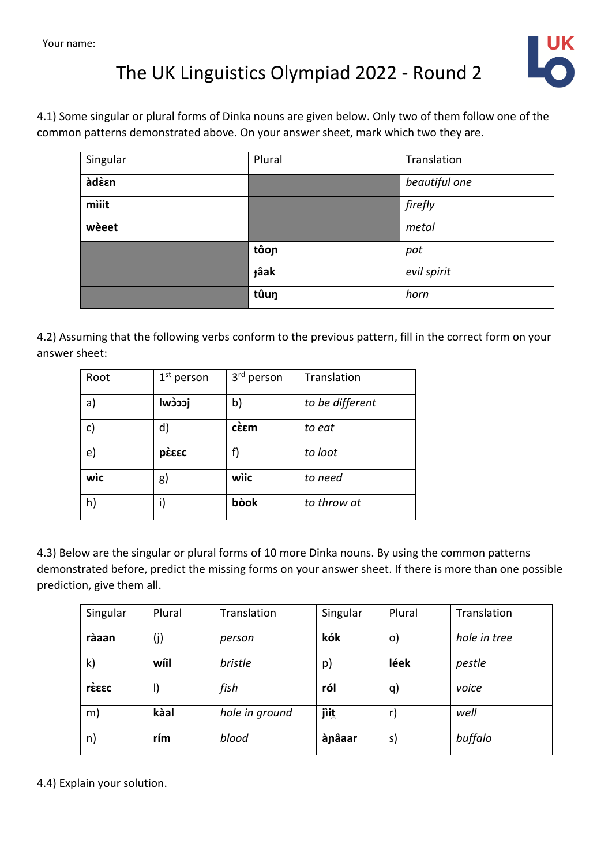

4.1) Some singular or plural forms of Dinka nouns are given below. Only two of them follow one of the common patterns demonstrated above. On your answer sheet, mark which two they are.

| Singular | Plural | Translation   |
|----------|--------|---------------|
| aden     |        | beautiful one |
| miiit    |        | firefly       |
| wèeet    |        | metal         |
|          | tôon   | pot           |
|          | tâak   | evil spirit   |
|          | tûuŋ   | horn          |

4.2) Assuming that the following verbs conform to the previous pattern, fill in the correct form on your answer sheet:

| Root | $1st$ person | 3rd person | Translation     |
|------|--------------|------------|-----------------|
| a)   | jccćwl       | b)         | to be different |
| c)   | d)           | cèem       | to eat          |
| e)   | ρέεες        | f)         | to loot         |
| wìc  | g)           | wìic       | to need         |
| h)   | i)           | bòok       | to throw at     |

4.3) Below are the singular or plural forms of 10 more Dinka nouns. By using the common patterns demonstrated before, predict the missing forms on your answer sheet. If there is more than one possible prediction, give them all.

| Singular     | Plural | Translation    | Singular | Plural   | Translation  |
|--------------|--------|----------------|----------|----------|--------------|
| ràaan        | (j)    | person         | kók      | $\circ)$ | hole in tree |
| $\mathsf{k}$ | wíil   | bristle        | p)       | léek     | pestle       |
| εεες         | I)     | fish           | ról      | q)       | voice        |
| m)           | kàal   | hole in ground | jìit     | r)       | well         |
| n)           | rím    | blood          | ànâaar   | s)       | buffalo      |

4.4) Explain your solution.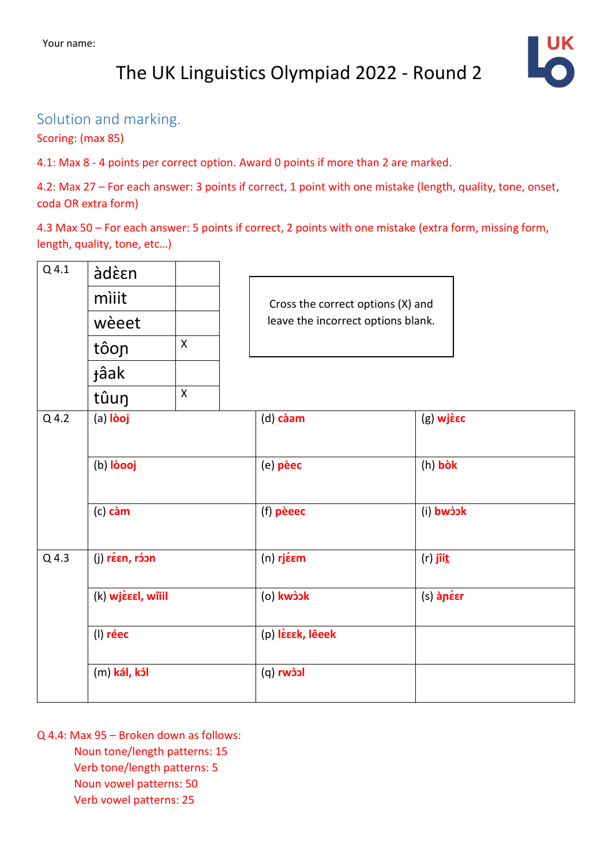## Solution and marking.

Scoring: (max 85)

4.1: Max 8 - 4 points per correct option. Award 0 points if more than 2 are marked.

4.2: Max 27 – For each answer: 3 points if correct, 1 point with one mistake (length, quality, tone, onset, coda OR extra form)

4.3 Max 50 – For each answer: 5 points if correct, 2 points with one mistake (extra form, missing form, length, quality, tone, etc…)

| $Q$ 4.1 | aden                                   |              |                                   |                                    |            |           |  |
|---------|----------------------------------------|--------------|-----------------------------------|------------------------------------|------------|-----------|--|
|         | miiit<br>wèeet<br>$\mathsf{X}$<br>tôon |              | Cross the correct options (X) and |                                    |            |           |  |
|         |                                        |              |                                   | leave the incorrect options blank. |            |           |  |
|         |                                        |              |                                   |                                    |            |           |  |
|         | <b>jâak</b>                            |              |                                   |                                    |            |           |  |
|         | tûuŋ                                   | $\mathsf{X}$ |                                   |                                    |            |           |  |
| $Q$ 4.2 | (a) lòoj                               |              |                                   | (d) càam                           | (g) wjεες  |           |  |
|         | (b) lòooj                              |              |                                   | (e) pèec                           | (h) bòk    |           |  |
|         | $(c)$ càm                              |              |                                   | (f) pèeec                          | (i) bwóok  |           |  |
| Q 4.3   | (j) réen, róon                         |              |                                   | (n) rjέεm                          | $(r)$ jîit |           |  |
|         | (k) wjεεεl, wîiil                      |              |                                   | (o) kwóok                          |            | (s) anéer |  |
|         | (l) réec                               |              |                                   | (p) lεεεk, lêeek                   |            |           |  |
|         | (m) kál, kól                           |              |                                   | Icćwn (p)                          |            |           |  |
|         |                                        |              |                                   |                                    |            |           |  |

Q 4.4: Max 95 – Broken down as follows: Noun tone/length patterns: 15 Verb tone/length patterns: 5 Noun vowel patterns: 50 Verb vowel patterns: 25